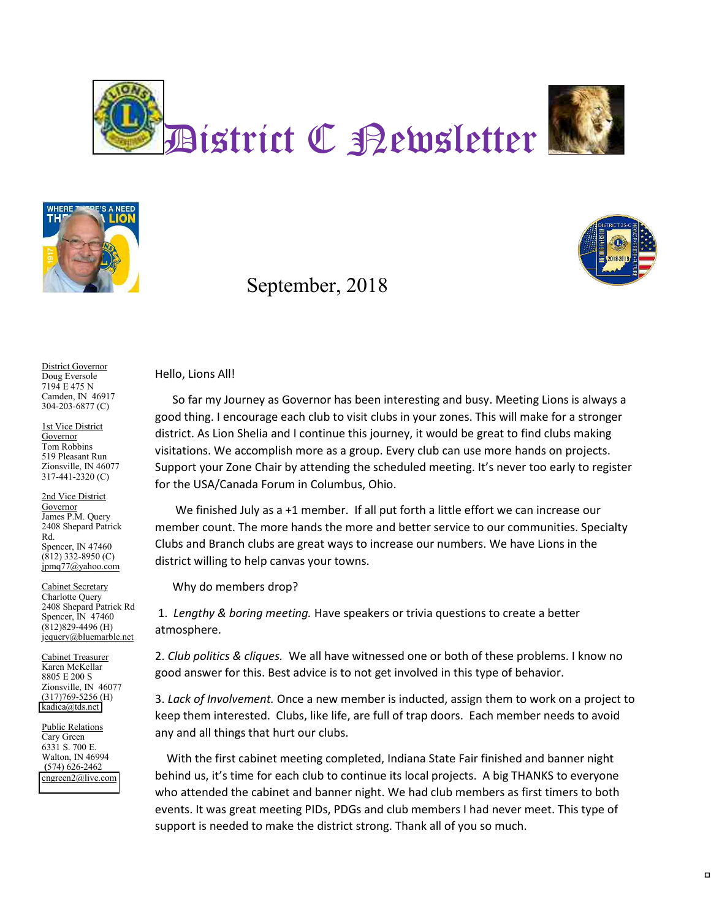





## September, 2018



District Governor Doug Eversole 7194 E 475 N Camden, IN 46917 304-203-6877 (C)

1st Vice District **Governor** Tom Robbins 519 Pleasant Run Zionsville, IN 46077 317-441-2320 (C)

2nd Vice District Governor James P.M. Query 2408 Shepard Patrick Rd. Spencer, IN 47460 (812) 332-8950 (C) jpmq77@yahoo.com

Cabinet Secretary Charlotte Query 2408 Shepard Patrick Rd Spencer, IN 47460 (812)829-4496 (H) jequery@bluemarble.net

Cabinet Treasurer Karen McKellar 8805 E 200 S Zionsville, IN 46077 (317)769-5256 (H) [kadica@tds.net](mailto:kadica@tds.net)

Public Relations Cary Green 6331 S. 700 E. Walton, IN 46994 **(**574) 626-2462 [cngreen2@live.com](mailto:ross.drapalik@sbcglobal.net) Hello, Lions All!

So far my Journey as Governor has been interesting and busy. Meeting Lions is always a good thing. I encourage each club to visit clubs in your zones. This will make for a stronger district. As Lion Shelia and I continue this journey, it would be great to find clubs making visitations. We accomplish more as a group. Every club can use more hands on projects. Support your Zone Chair by attending the scheduled meeting. It's never too early to register for the USA/Canada Forum in Columbus, Ohio.

We finished July as a +1 member. If all put forth a little effort we can increase our member count. The more hands the more and better service to our communities. Specialty Clubs and Branch clubs are great ways to increase our numbers. We have Lions in the district willing to help canvas your towns.

Why do members drop?

1. *Lengthy & boring meeting.* Have speakers or trivia questions to create a better atmosphere.

2. *Club politics & cliques.* We all have witnessed one or both of these problems. I know no good answer for this. Best advice is to not get involved in this type of behavior.

3. *Lack of Involvement.* Once a new member is inducted, assign them to work on a project to keep them interested. Clubs, like life, are full of trap doors. Each member needs to avoid any and all things that hurt our clubs.

With the first cabinet meeting completed, Indiana State Fair finished and banner night behind us, it's time for each club to continue its local projects. A big THANKS to everyone who attended the cabinet and banner night. We had club members as first timers to both events. It was great meeting PIDs, PDGs and club members I had never meet. This type of support is needed to make the district strong. Thank all of you so much.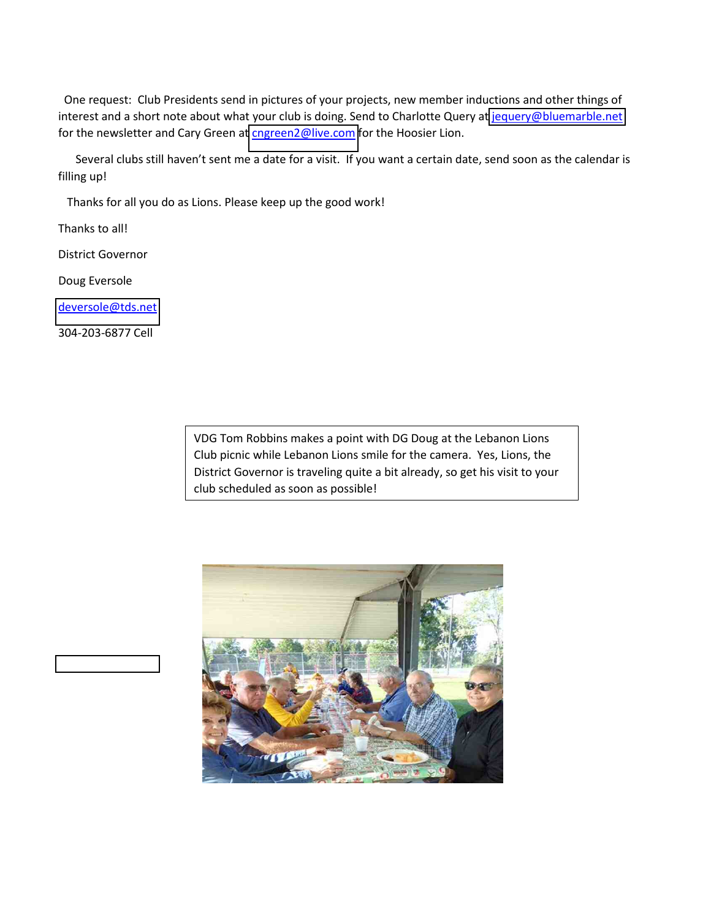One request: Club Presidents send in pictures of your projects, new member inductions and other things of interest and a short note about what your club is doing. Send to Charlotte Query a[t jequery@bluemarble.net](mailto:jequery@bluemarble.net) for the newsletter and Cary Green at [cngreen2@live.com](mailto:cngreen2@live.com) for the Hoosier Lion.

Several clubs still haven't sent me a date for a visit. If you want a certain date, send soon as the calendar is filling up!

Thanks for all you do as Lions. Please keep up the good work!

Thanks to all!

District Governor

Doug Eversole

[deversole@tds.net](mailto:deversole@tds.net)

304-203-6877 Cell

VDG Tom Robbins makes a point with DG Doug at the Lebanon Lions Club picnic while Lebanon Lions smile for the camera. Yes, Lions, the District Governor is traveling quite a bit already, so get his visit to your club scheduled as soon as possible!

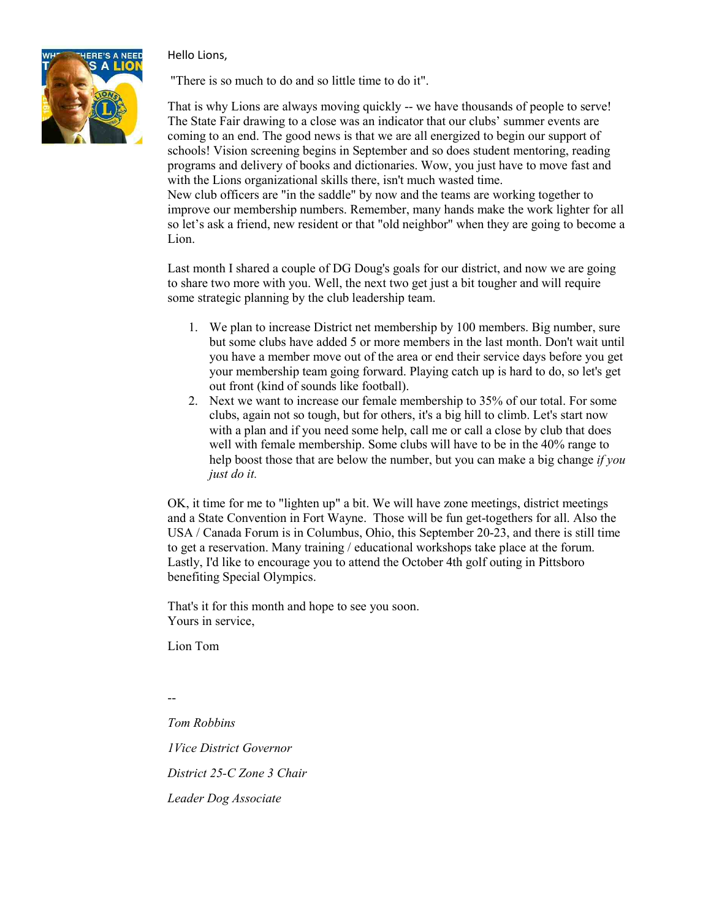Hello Lions,



"There is so much to do and so little time to do it".

That is why Lions are always moving quickly -- we have thousands of people to serve! The State Fair drawing to a close was an indicator that our clubs' summer events are coming to an end. The good news is that we are all energized to begin our support of schools! Vision screening begins in September and so does student mentoring, reading programs and delivery of books and dictionaries. Wow, you just have to move fast and with the Lions organizational skills there, isn't much wasted time. New club officers are "in the saddle" by now and the teams are working together to

improve our membership numbers. Remember, many hands make the work lighter for all so let's ask a friend, new resident or that "old neighbor" when they are going to become a Lion.

Last month I shared a couple of DG Doug's goals for our district, and now we are going to share two more with you. Well, the next two get just a bit tougher and will require some strategic planning by the club leadership team.

- 1. We plan to increase District net membership by 100 members. Big number, sure but some clubs have added 5 or more members in the last month. Don't wait until you have a member move out of the area or end their service days before you get your membership team going forward. Playing catch up is hard to do, so let's get out front (kind of sounds like football).
- 2. Next we want to increase our female membership to 35% of our total. For some clubs, again not so tough, but for others, it's a big hill to climb. Let's start now with a plan and if you need some help, call me or call a close by club that does well with female membership. Some clubs will have to be in the 40% range to help boost those that are below the number, but you can make a big change *if you just do it.*

OK, it time for me to "lighten up" a bit. We will have zone meetings, district meetings and a State Convention in Fort Wayne. Those will be fun get-togethers for all. Also the USA / Canada Forum is in Columbus, Ohio, this September 20-23, and there is still time to get a reservation. Many training / educational workshops take place at the forum. Lastly, I'd like to encourage you to attend the October 4th golf outing in Pittsboro benefiting Special Olympics.

That's it for this month and hope to see you soon. Yours in service,

Lion Tom

-- *Tom Robbins 1Vice District Governor District 25-C Zone 3 Chair Leader Dog Associate*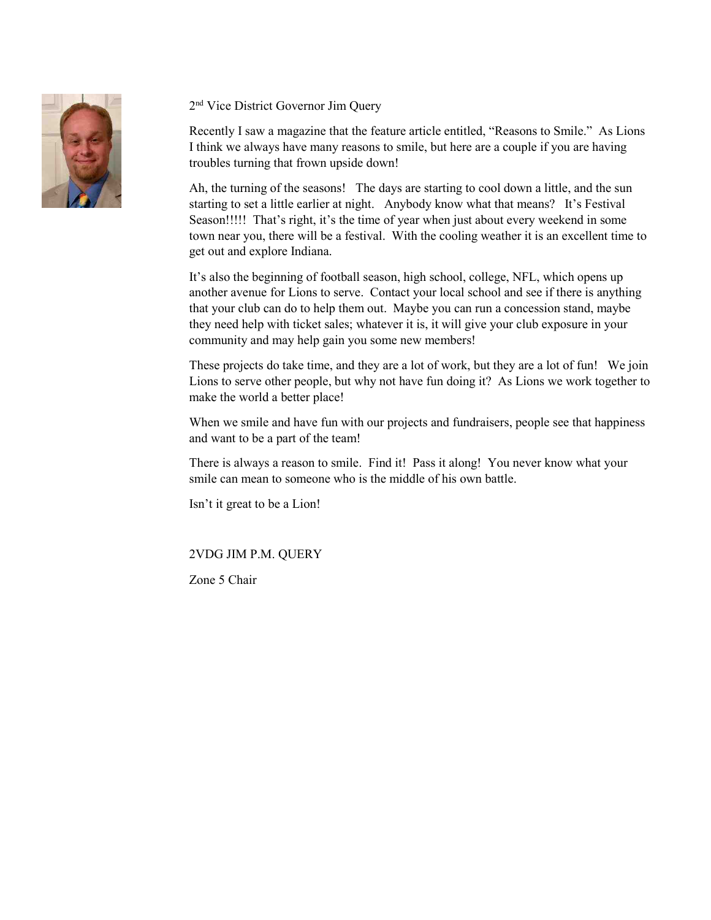

## 2nd Vice District Governor Jim Query

Recently I saw a magazine that the feature article entitled, "Reasons to Smile." As Lions I think we always have many reasons to smile, but here are a couple if you are having troubles turning that frown upside down!

Ah, the turning of the seasons! The days are starting to cool down a little, and the sun starting to set a little earlier at night. Anybody know what that means? It's Festival Season!!!!! That's right, it's the time of year when just about every weekend in some town near you, there will be a festival. With the cooling weather it is an excellent time to get out and explore Indiana.

It's also the beginning of football season, high school, college, NFL, which opens up another avenue for Lions to serve. Contact your local school and see if there is anything that your club can do to help them out. Maybe you can run a concession stand, maybe they need help with ticket sales; whatever it is, it will give your club exposure in your community and may help gain you some new members!

These projects do take time, and they are a lot of work, but they are a lot of fun! We join Lions to serve other people, but why not have fun doing it? As Lions we work together to make the world a better place!

When we smile and have fun with our projects and fundraisers, people see that happiness and want to be a part of the team!

There is always a reason to smile. Find it! Pass it along! You never know what your smile can mean to someone who is the middle of his own battle.

Isn't it great to be a Lion!

### 2VDG JIM P.M. QUERY

Zone 5 Chair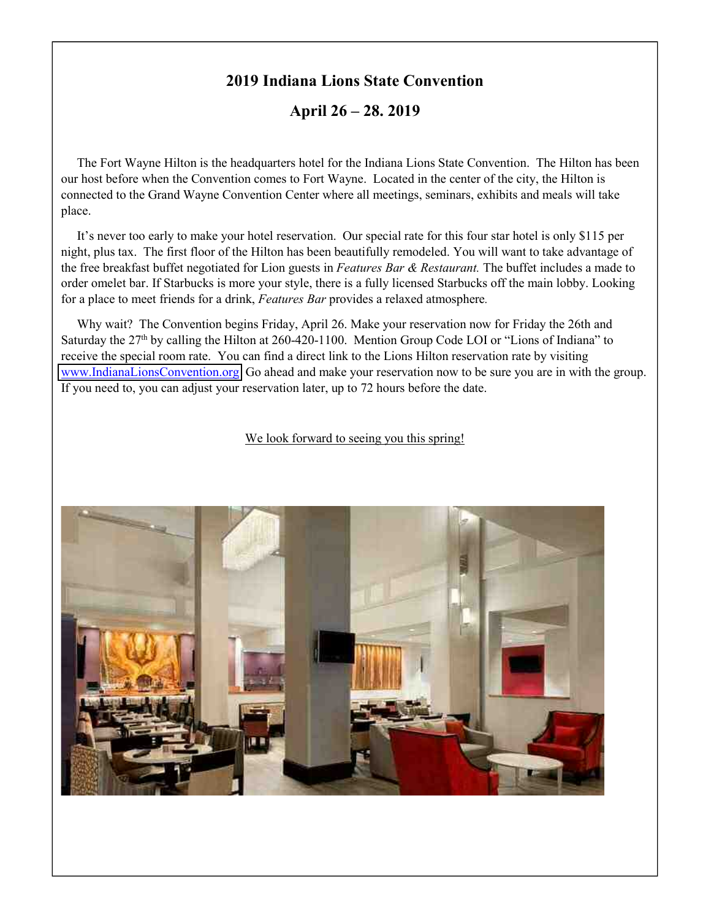## **2019 Indiana Lions State Convention**

**April 26 – 28. 2019**

The Fort Wayne Hilton is the headquarters hotel for the Indiana Lions State Convention. The Hilton has been our host before when the Convention comes to Fort Wayne. Located in the center of the city, the Hilton is connected to the Grand Wayne Convention Center where all meetings, seminars, exhibits and meals will take place.

It's never too early to make your hotel reservation. Our special rate for this four star hotel is only \$115 per night, plus tax. The first floor of the Hilton has been beautifully remodeled. You will want to take advantage of the free breakfast buffet negotiated for Lion guests in *Features Bar & Restaurant.* The buffet includes a made to order omelet bar. If Starbucks is more your style, there is a fully licensed Starbucks off the main lobby. Looking for a place to meet friends for a drink, *Features Bar* provides a relaxed atmosphere*.*

Why wait? The Convention begins Friday, April 26. Make your reservation now for Friday the 26th and Saturday the  $27<sup>th</sup>$  by calling the Hilton at 260-420-1100. Mention Group Code LOI or "Lions of Indiana" to receive the special room rate. You can find a direct link to the Lions Hilton reservation rate by visiting [www.IndianaLionsConvention.org](http://www.indianalionsconvention.org/) Go ahead and make your reservation now to be sure you are in with the group. If you need to, you can adjust your reservation later, up to 72 hours before the date.

We look forward to seeing you this spring!

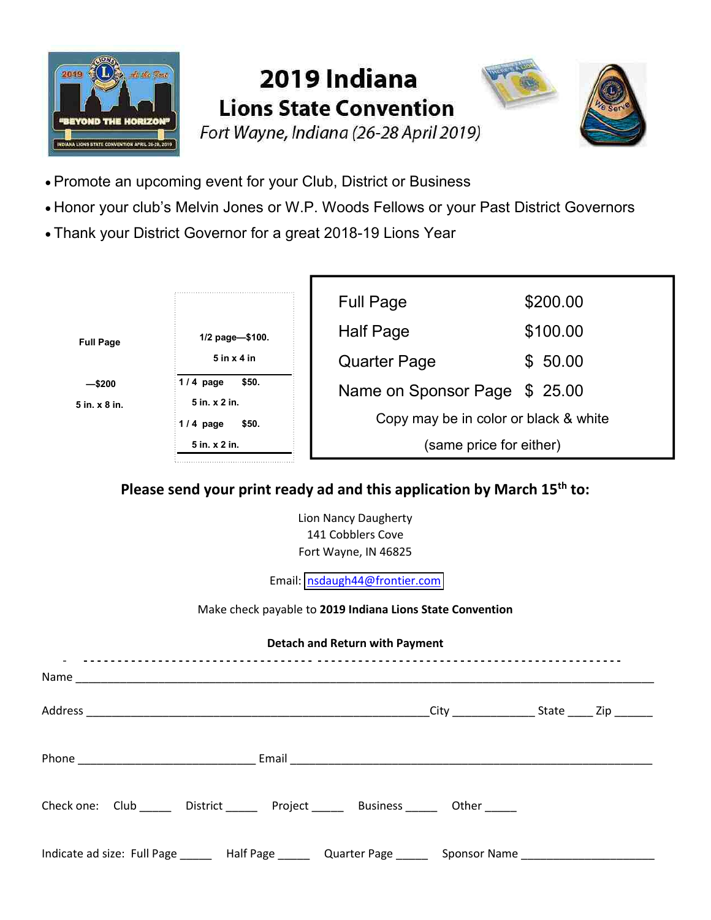

# 2019 Indiana **Lions State Convention**





- · Promote an upcoming event for your Club, District or Business
- · Honor your club's Melvin Jones or W.P. Woods Fellows or your Past District Governors
- · Thank your District Governor for a great 2018-19 Lions Year



## **Please send your print ready ad and this application by March 15th to:**

Lion Nancy Daugherty 141 Cobblers Cove Fort Wayne, IN 46825

Email: [nsdaugh44@frontier.com](mailto:nsdaugh44@frontier.com)

### Make check payable to **2019 Indiana Lions State Convention**

### **Detach and Return with Payment**

| Check one: Club District Project Business Other                                                      |  |  |
|------------------------------------------------------------------------------------------------------|--|--|
| Indicate ad size: Full Page ______ Half Page ______ Quarter Page _____ Sponsor Name ________________ |  |  |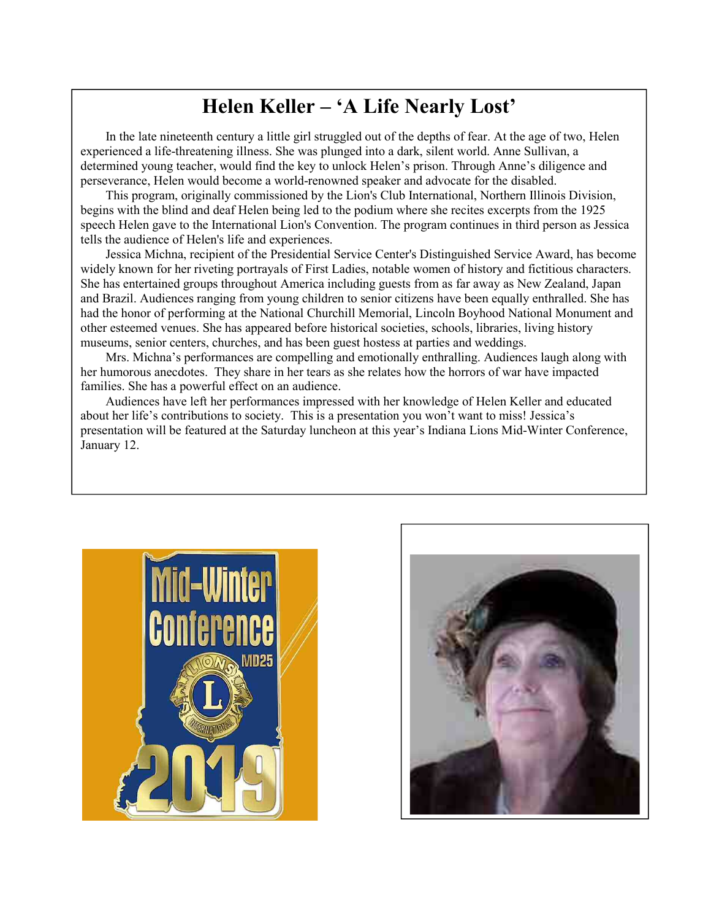# **Helen Keller – 'A Life Nearly Lost'**

In the late nineteenth century a little girl struggled out of the depths of fear. At the age of two, Helen experienced a life-threatening illness. She was plunged into a dark, silent world. Anne Sullivan, a determined young teacher, would find the key to unlock Helen's prison. Through Anne's diligence and perseverance, Helen would become a world-renowned speaker and advocate for the disabled.

This program, originally commissioned by the Lion's Club International, Northern Illinois Division, begins with the blind and deaf Helen being led to the podium where she recites excerpts from the 1925 speech Helen gave to the International Lion's Convention. The program continues in third person as Jessica tells the audience of Helen's life and experiences.

Jessica Michna, recipient of the Presidential Service Center's Distinguished Service Award, has become widely known for her riveting portrayals of First Ladies, notable women of history and fictitious characters. She has entertained groups throughout America including guests from as far away as New Zealand, Japan and Brazil. Audiences ranging from young children to senior citizens have been equally enthralled. She has had the honor of performing at the National Churchill Memorial, Lincoln Boyhood National Monument and other esteemed venues. She has appeared before historical societies, schools, libraries, living history museums, senior centers, churches, and has been guest hostess at parties and weddings.

Mrs. Michna's performances are compelling and emotionally enthralling. Audiences laugh along with her humorous anecdotes. They share in her tears as she relates how the horrors of war have impacted families. She has a powerful effect on an audience.

Audiences have left her performances impressed with her knowledge of Helen Keller and educated about her life's contributions to society. This is a presentation you won't want to miss! Jessica's presentation will be featured at the Saturday luncheon at this year's Indiana Lions Mid-Winter Conference, January 12.



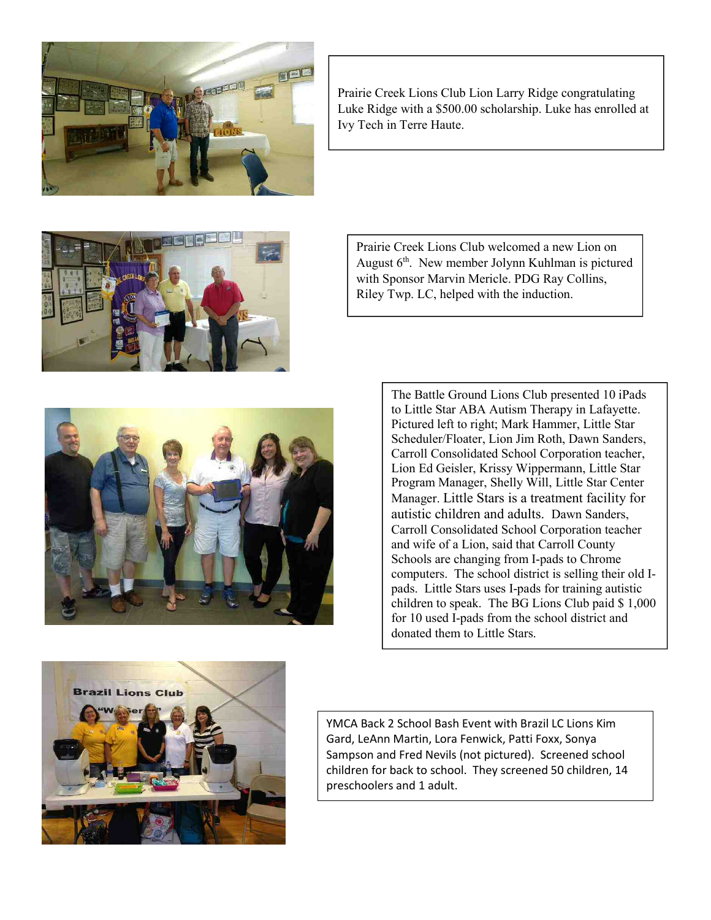

Prairie Creek Lions Club Lion Larry Ridge congratulating Luke Ridge with a \$500.00 scholarship. Luke has enrolled at Ivy Tech in Terre Haute.



Prairie Creek Lions Club welcomed a new Lion on August  $6<sup>th</sup>$ . New member Jolynn Kuhlman is pictured with Sponsor Marvin Mericle. PDG Ray Collins, Riley Twp. LC, helped with the induction.



The Battle Ground Lions Club presented 10 iPads to Little Star ABA Autism Therapy in Lafayette. Pictured left to right; Mark Hammer, Little Star Scheduler/Floater, Lion Jim Roth, Dawn Sanders, Carroll Consolidated School Corporation teacher, Lion Ed Geisler, Krissy Wippermann, Little Star Program Manager, Shelly Will, Little Star Center Manager. Little Stars is a treatment facility for autistic children and adults. Dawn Sanders, Carroll Consolidated School Corporation teacher and wife of a Lion, said that Carroll County Schools are changing from I-pads to Chrome computers. The school district is selling their old Ipads. Little Stars uses I-pads for training autistic children to speak. The BG Lions Club paid \$ 1,000 for 10 used I-pads from the school district and donated them to Little Stars.



YMCA Back 2 School Bash Event with Brazil LC Lions Kim Gard, LeAnn Martin, Lora Fenwick, Patti Foxx, Sonya Sampson and Fred Nevils (not pictured). Screened school children for back to school. They screened 50 children, 14 preschoolers and 1 adult.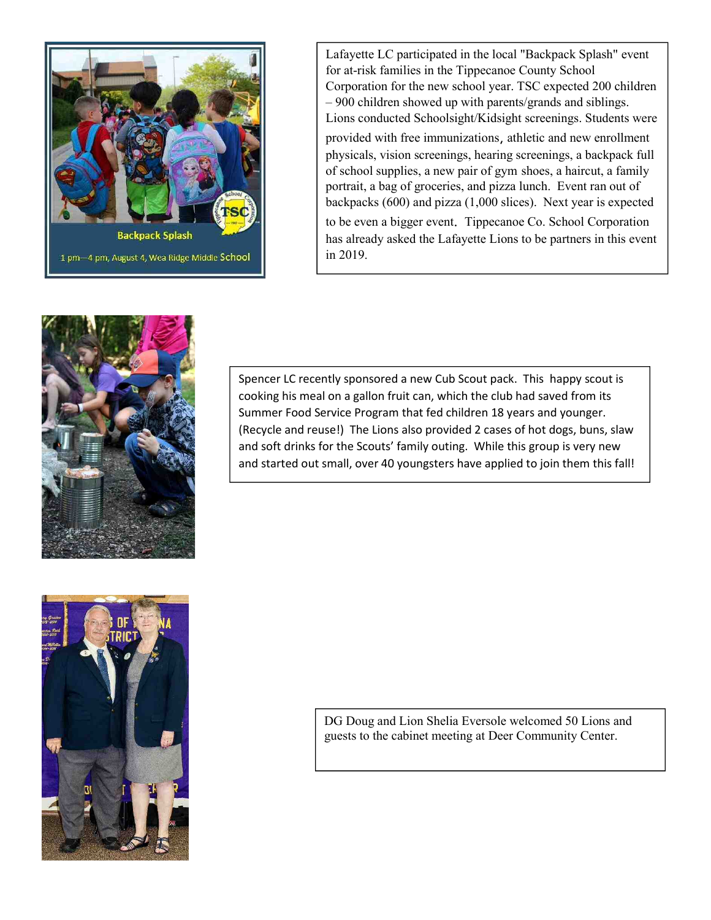

Lafayette LC participated in the local "Backpack Splash" event for at-risk families in the Tippecanoe County School Corporation for the new school year. TSC expected 200 children – 900 children showed up with parents/grands and siblings. Lions conducted Schoolsight/Kidsight screenings. Students were

provided with free immunizations, athletic and new enrollment physicals, vision screenings, hearing screenings, a backpack full of school supplies, a new pair of gym shoes, a haircut, a family portrait, a bag of groceries, and pizza lunch. Event ran out of backpacks (600) and pizza (1,000 slices). Next year is expected

to be even a bigger event. Tippecanoe Co. School Corporation has already asked the Lafayette Lions to be partners in this event in 2019.



Spencer LC recently sponsored a new Cub Scout pack. This happy scout is cooking his meal on a gallon fruit can, which the club had saved from its Summer Food Service Program that fed children 18 years and younger. (Recycle and reuse!) The Lions also provided 2 cases of hot dogs, buns, slaw and soft drinks for the Scouts' family outing. While this group is very new and started out small, over 40 youngsters have applied to join them this fall!



DG Doug and Lion Shelia Eversole welcomed 50 Lions and guests to the cabinet meeting at Deer Community Center.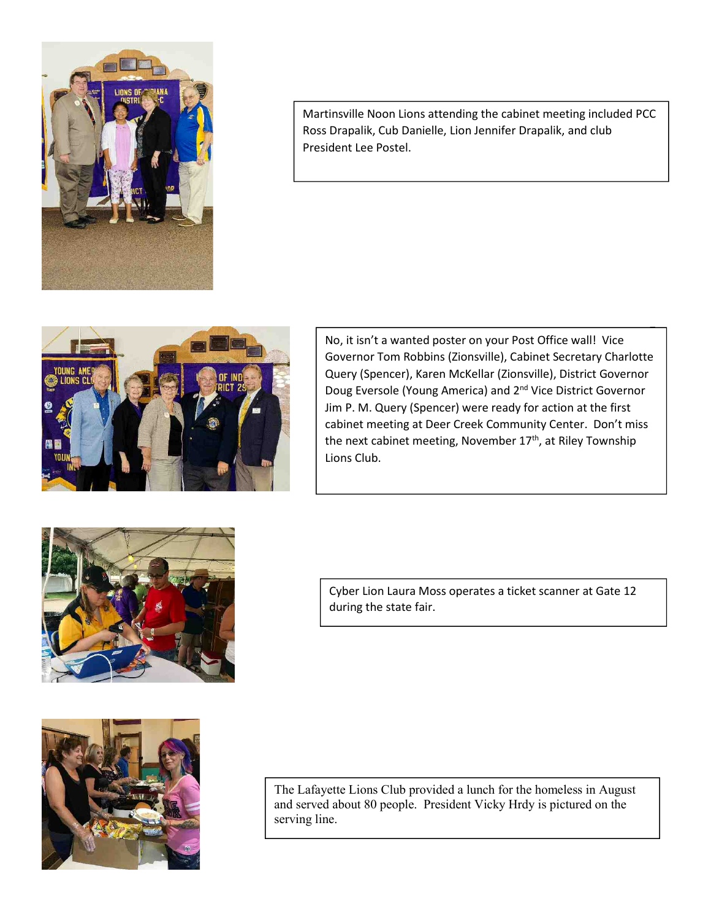

Martinsville Noon Lions attending the cabinet meeting included PCC Ross Drapalik, Cub Danielle, Lion Jennifer Drapalik, and club President Lee Postel.



No, it isn't a wanted poster on your Post Office wall! Vice Governor Tom Robbins (Zionsville), Cabinet Secretary Charlotte Query (Spencer), Karen McKellar (Zionsville), District Governor Doug Eversole (Young America) and 2<sup>nd</sup> Vice District Governor Jim P. M. Query (Spencer) were ready for action at the first cabinet meeting at Deer Creek Community Center. Don't miss the next cabinet meeting, November 17<sup>th</sup>, at Riley Township Lions Club.



Cyber Lion Laura Moss operates a ticket scanner at Gate 12 during the state fair.



The Lafayette Lions Club provided a lunch for the homeless in August and served about 80 people. President Vicky Hrdy is pictured on the serving line.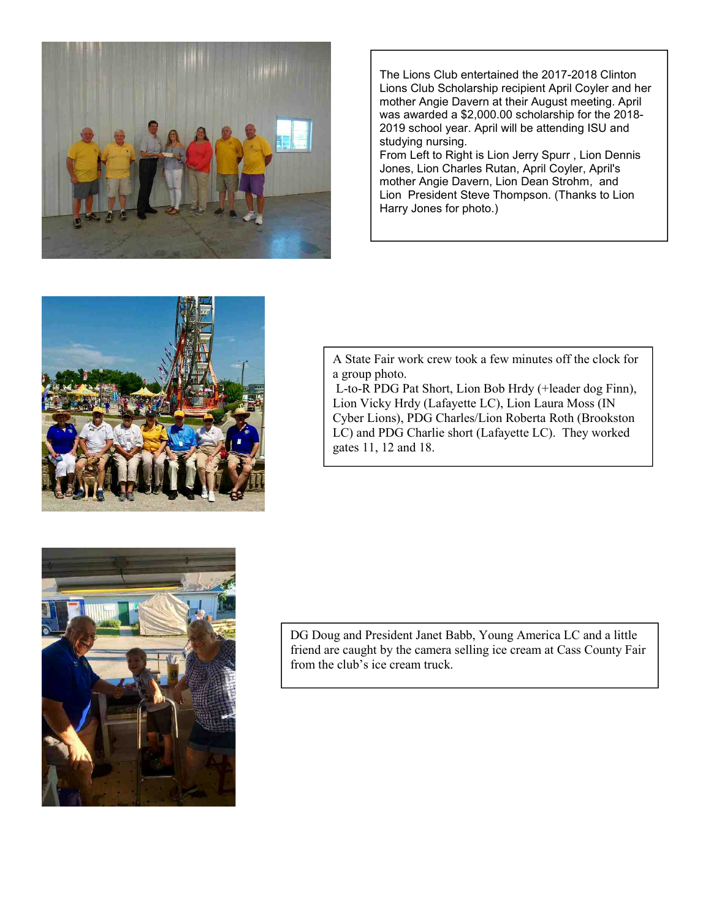

The Lions Club entertained the 2017-2018 Clinton Lions Club Scholarship recipient April Coyler and her mother Angie Davern at their August meeting. April was awarded a \$2,000.00 scholarship for the 2018- 2019 school year. April will be attending ISU and studying nursing.

From Left to Right is Lion Jerry Spurr , Lion Dennis Jones, Lion Charles Rutan, April Coyler, April's mother Angie Davern, Lion Dean Strohm, and Lion President Steve Thompson. (Thanks to Lion Harry Jones for photo.)



A State Fair work crew took a few minutes off the clock for a group photo.

L-to-R PDG Pat Short, Lion Bob Hrdy (+leader dog Finn), Lion Vicky Hrdy (Lafayette LC), Lion Laura Moss (IN Cyber Lions), PDG Charles/Lion Roberta Roth (Brookston LC) and PDG Charlie short (Lafayette LC). They worked gates 11, 12 and 18.



DG Doug and President Janet Babb, Young America LC and a little friend are caught by the camera selling ice cream at Cass County Fair from the club's ice cream truck.